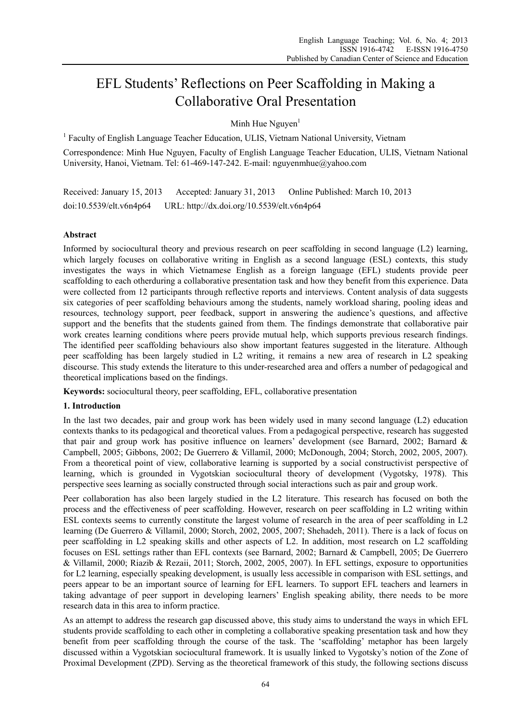# EFL Students' Reflections on Peer Scaffolding in Making a Collaborative Oral Presentation

Minh Hue Nguyen $<sup>1</sup>$ </sup>

<sup>1</sup> Faculty of English Language Teacher Education, ULIS, Vietnam National University, Vietnam

Correspondence: Minh Hue Nguyen, Faculty of English Language Teacher Education, ULIS, Vietnam National University, Hanoi, Vietnam. Tel: 61-469-147-242. E-mail: nguyenmhue@yahoo.com

Received: January 15, 2013 Accepted: January 31, 2013 Online Published: March 10, 2013 doi:10.5539/elt.v6n4p64 URL: http://dx.doi.org/10.5539/elt.v6n4p64

# **Abstract**

Informed by sociocultural theory and previous research on peer scaffolding in second language (L2) learning, which largely focuses on collaborative writing in English as a second language (ESL) contexts, this study investigates the ways in which Vietnamese English as a foreign language (EFL) students provide peer scaffolding to each otherduring a collaborative presentation task and how they benefit from this experience. Data were collected from 12 participants through reflective reports and interviews. Content analysis of data suggests six categories of peer scaffolding behaviours among the students, namely workload sharing, pooling ideas and resources, technology support, peer feedback, support in answering the audience's questions, and affective support and the benefits that the students gained from them. The findings demonstrate that collaborative pair work creates learning conditions where peers provide mutual help, which supports previous research findings. The identified peer scaffolding behaviours also show important features suggested in the literature. Although peer scaffolding has been largely studied in L2 writing, it remains a new area of research in L2 speaking discourse. This study extends the literature to this under-researched area and offers a number of pedagogical and theoretical implications based on the findings.

**Keywords:** sociocultural theory, peer scaffolding, EFL, collaborative presentation

# **1. Introduction**

In the last two decades, pair and group work has been widely used in many second language (L2) education contexts thanks to its pedagogical and theoretical values. From a pedagogical perspective, research has suggested that pair and group work has positive influence on learners' development (see Barnard, 2002; Barnard & Campbell, 2005; Gibbons, 2002; De Guerrero & Villamil, 2000; McDonough, 2004; Storch, 2002, 2005, 2007). From a theoretical point of view, collaborative learning is supported by a social constructivist perspective of learning, which is grounded in Vygotskian sociocultural theory of development (Vygotsky, 1978). This perspective sees learning as socially constructed through social interactions such as pair and group work.

Peer collaboration has also been largely studied in the L2 literature. This research has focused on both the process and the effectiveness of peer scaffolding. However, research on peer scaffolding in L2 writing within ESL contexts seems to currently constitute the largest volume of research in the area of peer scaffolding in L2 learning (De Guerrero & Villamil, 2000; Storch, 2002, 2005, 2007; Shehadeh, 2011). There is a lack of focus on peer scaffolding in L2 speaking skills and other aspects of L2. In addition, most research on L2 scaffolding focuses on ESL settings rather than EFL contexts (see Barnard, 2002; Barnard & Campbell, 2005; De Guerrero & Villamil, 2000; Riazib & Rezaii, 2011; Storch, 2002, 2005, 2007). In EFL settings, exposure to opportunities for L2 learning, especially speaking development, is usually less accessible in comparison with ESL settings, and peers appear to be an important source of learning for EFL learners. To support EFL teachers and learners in taking advantage of peer support in developing learners' English speaking ability, there needs to be more research data in this area to inform practice.

As an attempt to address the research gap discussed above, this study aims to understand the ways in which EFL students provide scaffolding to each other in completing a collaborative speaking presentation task and how they benefit from peer scaffolding through the course of the task. The 'scaffolding' metaphor has been largely discussed within a Vygotskian sociocultural framework. It is usually linked to Vygotsky's notion of the Zone of Proximal Development (ZPD). Serving as the theoretical framework of this study, the following sections discuss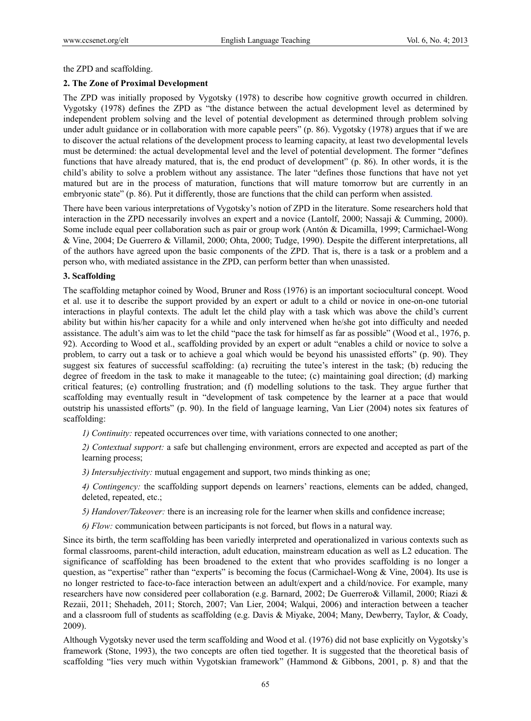the ZPD and scaffolding.

## **2. The Zone of Proximal Development**

The ZPD was initially proposed by Vygotsky (1978) to describe how cognitive growth occurred in children. Vygotsky (1978) defines the ZPD as "the distance between the actual development level as determined by independent problem solving and the level of potential development as determined through problem solving under adult guidance or in collaboration with more capable peers" (p. 86). Vygotsky (1978) argues that if we are to discover the actual relations of the development process to learning capacity, at least two developmental levels must be determined: the actual developmental level and the level of potential development. The former "defines functions that have already matured, that is, the end product of development" (p. 86). In other words, it is the child's ability to solve a problem without any assistance. The later "defines those functions that have not yet matured but are in the process of maturation, functions that will mature tomorrow but are currently in an embryonic state" (p. 86). Put it differently, those are functions that the child can perform when assisted.

There have been various interpretations of Vygotsky's notion of ZPD in the literature. Some researchers hold that interaction in the ZPD necessarily involves an expert and a novice (Lantolf, 2000; Nassaji & Cumming, 2000). Some include equal peer collaboration such as pair or group work (Antón & Dicamilla, 1999; Carmichael-Wong & Vine, 2004; De Guerrero & Villamil, 2000; Ohta, 2000; Tudge, 1990). Despite the different interpretations, all of the authors have agreed upon the basic components of the ZPD. That is, there is a task or a problem and a person who, with mediated assistance in the ZPD, can perform better than when unassisted.

### **3. Scaffolding**

The scaffolding metaphor coined by Wood, Bruner and Ross (1976) is an important sociocultural concept. Wood et al. use it to describe the support provided by an expert or adult to a child or novice in one-on-one tutorial interactions in playful contexts. The adult let the child play with a task which was above the child's current ability but within his/her capacity for a while and only intervened when he/she got into difficulty and needed assistance. The adult's aim was to let the child "pace the task for himself as far as possible" (Wood et al., 1976, p. 92). According to Wood et al., scaffolding provided by an expert or adult "enables a child or novice to solve a problem, to carry out a task or to achieve a goal which would be beyond his unassisted efforts" (p. 90). They suggest six features of successful scaffolding: (a) recruiting the tutee's interest in the task; (b) reducing the degree of freedom in the task to make it manageable to the tutee; (c) maintaining goal direction; (d) marking critical features; (e) controlling frustration; and (f) modelling solutions to the task. They argue further that scaffolding may eventually result in "development of task competence by the learner at a pace that would outstrip his unassisted efforts" (p. 90). In the field of language learning, Van Lier (2004) notes six features of scaffolding:

*1) Continuity:* repeated occurrences over time, with variations connected to one another;

*2) Contextual support:* a safe but challenging environment, errors are expected and accepted as part of the learning process;

*3) Intersubjectivity:* mutual engagement and support, two minds thinking as one;

*4) Contingency:* the scaffolding support depends on learners' reactions, elements can be added, changed, deleted, repeated, etc.;

*5) Handover/Takeover:* there is an increasing role for the learner when skills and confidence increase;

*6) Flow:* communication between participants is not forced, but flows in a natural way.

Since its birth, the term scaffolding has been variedly interpreted and operationalized in various contexts such as formal classrooms, parent-child interaction, adult education, mainstream education as well as L2 education. The significance of scaffolding has been broadened to the extent that who provides scaffolding is no longer a question, as "expertise" rather than "experts" is becoming the focus (Carmichael-Wong & Vine, 2004). Its use is no longer restricted to face-to-face interaction between an adult/expert and a child/novice. For example, many researchers have now considered peer collaboration (e.g. Barnard, 2002; De Guerrero& Villamil, 2000; Riazi & Rezaii, 2011; Shehadeh, 2011; Storch, 2007; Van Lier, 2004; Walqui, 2006) and interaction between a teacher and a classroom full of students as scaffolding (e.g. Davis & Miyake, 2004; Many, Dewberry, Taylor, & Coady, 2009).

Although Vygotsky never used the term scaffolding and Wood et al. (1976) did not base explicitly on Vygotsky's framework (Stone, 1993), the two concepts are often tied together. It is suggested that the theoretical basis of scaffolding "lies very much within Vygotskian framework" (Hammond & Gibbons, 2001, p. 8) and that the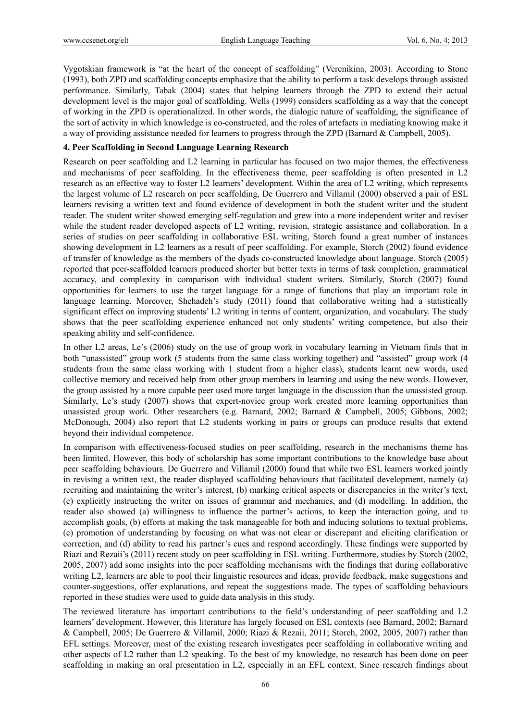Vygotskian framework is "at the heart of the concept of scaffolding" (Verenikina, 2003). According to Stone (1993), both ZPD and scaffolding concepts emphasize that the ability to perform a task develops through assisted performance. Similarly, Tabak (2004) states that helping learners through the ZPD to extend their actual development level is the major goal of scaffolding. Wells (1999) considers scaffolding as a way that the concept of working in the ZPD is operationalized. In other words, the dialogic nature of scaffolding, the significance of the sort of activity in which knowledge is co-constructed, and the roles of artefacts in mediating knowing make it a way of providing assistance needed for learners to progress through the ZPD (Barnard & Campbell, 2005).

### **4. Peer Scaffolding in Second Language Learning Research**

Research on peer scaffolding and L2 learning in particular has focused on two major themes, the effectiveness and mechanisms of peer scaffolding. In the effectiveness theme, peer scaffolding is often presented in L2 research as an effective way to foster L2 learners' development. Within the area of L2 writing, which represents the largest volume of L2 research on peer scaffolding, De Guerrero and Villamil (2000) observed a pair of ESL learners revising a written text and found evidence of development in both the student writer and the student reader. The student writer showed emerging self-regulation and grew into a more independent writer and reviser while the student reader developed aspects of L2 writing, revision, strategic assistance and collaboration. In a series of studies on peer scaffolding in collaborative ESL writing, Storch found a great number of instances showing development in L2 learners as a result of peer scaffolding. For example, Storch (2002) found evidence of transfer of knowledge as the members of the dyads co-constructed knowledge about language. Storch (2005) reported that peer-scaffolded learners produced shorter but better texts in terms of task completion, grammatical accuracy, and complexity in comparison with individual student writers. Similarly, Storch (2007) found opportunities for learners to use the target language for a range of functions that play an important role in language learning. Moreover, Shehadeh's study (2011) found that collaborative writing had a statistically significant effect on improving students' L2 writing in terms of content, organization, and vocabulary. The study shows that the peer scaffolding experience enhanced not only students' writing competence, but also their speaking ability and self-confidence.

In other L2 areas, Le's (2006) study on the use of group work in vocabulary learning in Vietnam finds that in both "unassisted" group work (5 students from the same class working together) and "assisted" group work (4 students from the same class working with 1 student from a higher class), students learnt new words, used collective memory and received help from other group members in learning and using the new words. However, the group assisted by a more capable peer used more target language in the discussion than the unassisted group. Similarly, Le's study (2007) shows that expert-novice group work created more learning opportunities than unassisted group work. Other researchers (e.g. Barnard, 2002; Barnard & Campbell, 2005; Gibbons, 2002; McDonough, 2004) also report that L2 students working in pairs or groups can produce results that extend beyond their individual competence.

In comparison with effectiveness-focused studies on peer scaffolding, research in the mechanisms theme has been limited. However, this body of scholarship has some important contributions to the knowledge base about peer scaffolding behaviours. De Guerrero and Villamil (2000) found that while two ESL learners worked jointly in revising a written text, the reader displayed scaffolding behaviours that facilitated development, namely (a) recruiting and maintaining the writer's interest, (b) marking critical aspects or discrepancies in the writer's text, (c) explicitly instructing the writer on issues of grammar and mechanics, and (d) modelling. In addition, the reader also showed (a) willingness to influence the partner's actions, to keep the interaction going, and to accomplish goals, (b) efforts at making the task manageable for both and inducing solutions to textual problems, (c) promotion of understanding by focusing on what was not clear or discrepant and eliciting clarification or correction, and (d) ability to read his partner's cues and respond accordingly. These findings were supported by Riazi and Rezaii's (2011) recent study on peer scaffolding in ESL writing. Furthermore, studies by Storch (2002, 2005, 2007) add some insights into the peer scaffolding mechanisms with the findings that during collaborative writing L2, learners are able to pool their linguistic resources and ideas, provide feedback, make suggestions and counter-suggestions, offer explanations, and repeat the suggestions made. The types of scaffolding behaviours reported in these studies were used to guide data analysis in this study.

The reviewed literature has important contributions to the field's understanding of peer scaffolding and L2 learners' development. However, this literature has largely focused on ESL contexts (see Barnard, 2002; Barnard & Campbell, 2005; De Guerrero & Villamil, 2000; Riazi & Rezaii, 2011; Storch, 2002, 2005, 2007) rather than EFL settings. Moreover, most of the existing research investigates peer scaffolding in collaborative writing and other aspects of L2 rather than L2 speaking. To the best of my knowledge, no research has been done on peer scaffolding in making an oral presentation in L2, especially in an EFL context. Since research findings about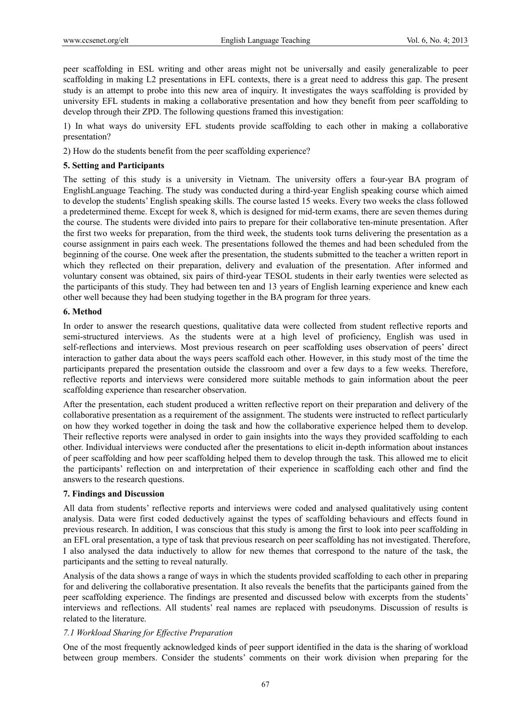peer scaffolding in ESL writing and other areas might not be universally and easily generalizable to peer scaffolding in making L2 presentations in EFL contexts, there is a great need to address this gap. The present study is an attempt to probe into this new area of inquiry. It investigates the ways scaffolding is provided by university EFL students in making a collaborative presentation and how they benefit from peer scaffolding to develop through their ZPD. The following questions framed this investigation:

1) In what ways do university EFL students provide scaffolding to each other in making a collaborative presentation?

2) How do the students benefit from the peer scaffolding experience?

## **5. Setting and Participants**

The setting of this study is a university in Vietnam. The university offers a four-year BA program of EnglishLanguage Teaching. The study was conducted during a third-year English speaking course which aimed to develop the students' English speaking skills. The course lasted 15 weeks. Every two weeks the class followed a predetermined theme. Except for week 8, which is designed for mid-term exams, there are seven themes during the course. The students were divided into pairs to prepare for their collaborative ten-minute presentation. After the first two weeks for preparation, from the third week, the students took turns delivering the presentation as a course assignment in pairs each week. The presentations followed the themes and had been scheduled from the beginning of the course. One week after the presentation, the students submitted to the teacher a written report in which they reflected on their preparation, delivery and evaluation of the presentation. After informed and voluntary consent was obtained, six pairs of third-year TESOL students in their early twenties were selected as the participants of this study. They had between ten and 13 years of English learning experience and knew each other well because they had been studying together in the BA program for three years.

## **6. Method**

In order to answer the research questions, qualitative data were collected from student reflective reports and semi-structured interviews. As the students were at a high level of proficiency, English was used in self-reflections and interviews. Most previous research on peer scaffolding uses observation of peers' direct interaction to gather data about the ways peers scaffold each other. However, in this study most of the time the participants prepared the presentation outside the classroom and over a few days to a few weeks. Therefore, reflective reports and interviews were considered more suitable methods to gain information about the peer scaffolding experience than researcher observation.

After the presentation, each student produced a written reflective report on their preparation and delivery of the collaborative presentation as a requirement of the assignment. The students were instructed to reflect particularly on how they worked together in doing the task and how the collaborative experience helped them to develop. Their reflective reports were analysed in order to gain insights into the ways they provided scaffolding to each other. Individual interviews were conducted after the presentations to elicit in-depth information about instances of peer scaffolding and how peer scaffolding helped them to develop through the task. This allowed me to elicit the participants' reflection on and interpretation of their experience in scaffolding each other and find the answers to the research questions.

## **7. Findings and Discussion**

All data from students' reflective reports and interviews were coded and analysed qualitatively using content analysis. Data were first coded deductively against the types of scaffolding behaviours and effects found in previous research. In addition, I was conscious that this study is among the first to look into peer scaffolding in an EFL oral presentation, a type of task that previous research on peer scaffolding has not investigated. Therefore, I also analysed the data inductively to allow for new themes that correspond to the nature of the task, the participants and the setting to reveal naturally.

Analysis of the data shows a range of ways in which the students provided scaffolding to each other in preparing for and delivering the collaborative presentation. It also reveals the benefits that the participants gained from the peer scaffolding experience. The findings are presented and discussed below with excerpts from the students' interviews and reflections. All students' real names are replaced with pseudonyms. Discussion of results is related to the literature.

# *7.1 Workload Sharing for Effective Preparation*

One of the most frequently acknowledged kinds of peer support identified in the data is the sharing of workload between group members. Consider the students' comments on their work division when preparing for the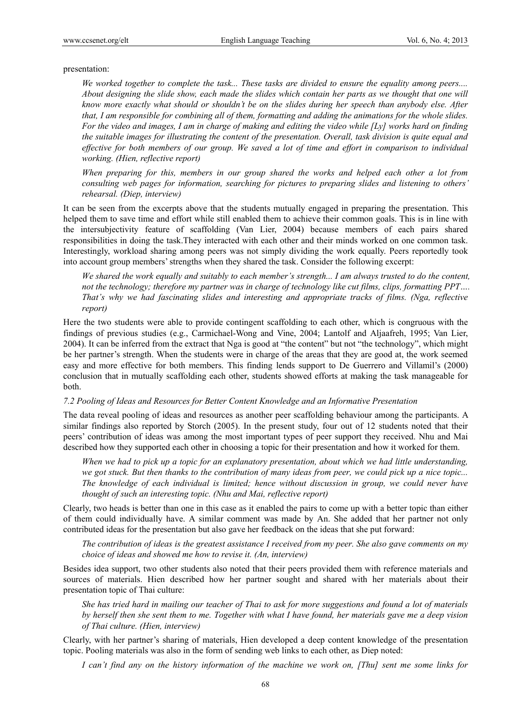#### presentation:

*We worked together to complete the task... These tasks are divided to ensure the equality among peers.... About designing the slide show, each made the slides which contain her parts as we thought that one will know more exactly what should or shouldn't be on the slides during her speech than anybody else. After that, I am responsible for combining all of them, formatting and adding the animations for the whole slides. For the video and images, I am in charge of making and editing the video while [Ly] works hard on finding the suitable images for illustrating the content of the presentation. Overall, task division is quite equal and effective for both members of our group. We saved a lot of time and effort in comparison to individual working. (Hien, reflective report)* 

*When preparing for this, members in our group shared the works and helped each other a lot from consulting web pages for information, searching for pictures to preparing slides and listening to others' rehearsal. (Diep, interview)* 

It can be seen from the excerpts above that the students mutually engaged in preparing the presentation. This helped them to save time and effort while still enabled them to achieve their common goals. This is in line with the intersubjectivity feature of scaffolding (Van Lier, 2004) because members of each pairs shared responsibilities in doing the task.They interacted with each other and their minds worked on one common task. Interestingly, workload sharing among peers was not simply dividing the work equally. Peers reportedly took into account group members' strengths when they shared the task. Consider the following excerpt:

*We shared the work equally and suitably to each member's strength... I am always trusted to do the content, not the technology; therefore my partner was in charge of technology like cut films, clips, formatting PPT.... That's why we had fascinating slides and interesting and appropriate tracks of films. (Nga, reflective report)* 

Here the two students were able to provide contingent scaffolding to each other, which is congruous with the findings of previous studies (e.g., Carmichael-Wong and Vine, 2004; Lantolf and Aljaafreh, 1995; Van Lier, 2004). It can be inferred from the extract that Nga is good at "the content" but not "the technology", which might be her partner's strength. When the students were in charge of the areas that they are good at, the work seemed easy and more effective for both members. This finding lends support to De Guerrero and Villamil's (2000) conclusion that in mutually scaffolding each other, students showed efforts at making the task manageable for both.

#### *7.2 Pooling of Ideas and Resources for Better Content Knowledge and an Informative Presentation*

The data reveal pooling of ideas and resources as another peer scaffolding behaviour among the participants. A similar findings also reported by Storch (2005). In the present study, four out of 12 students noted that their peers' contribution of ideas was among the most important types of peer support they received. Nhu and Mai described how they supported each other in choosing a topic for their presentation and how it worked for them.

*When we had to pick up a topic for an explanatory presentation, about which we had little understanding, we got stuck. But then thanks to the contribution of many ideas from peer, we could pick up a nice topic... The knowledge of each individual is limited; hence without discussion in group, we could never have thought of such an interesting topic. (Nhu and Mai, reflective report)* 

Clearly, two heads is better than one in this case as it enabled the pairs to come up with a better topic than either of them could individually have. A similar comment was made by An. She added that her partner not only contributed ideas for the presentation but also gave her feedback on the ideas that she put forward:

*The contribution of ideas is the greatest assistance I received from my peer. She also gave comments on my choice of ideas and showed me how to revise it. (An, interview)* 

Besides idea support, two other students also noted that their peers provided them with reference materials and sources of materials. Hien described how her partner sought and shared with her materials about their presentation topic of Thai culture:

*She has tried hard in mailing our teacher of Thai to ask for more suggestions and found a lot of materials by herself then she sent them to me. Together with what I have found, her materials gave me a deep vision of Thai culture. (Hien, interview)* 

Clearly, with her partner's sharing of materials, Hien developed a deep content knowledge of the presentation topic. Pooling materials was also in the form of sending web links to each other, as Diep noted:

*I can't find any on the history information of the machine we work on, [Thu] sent me some links for*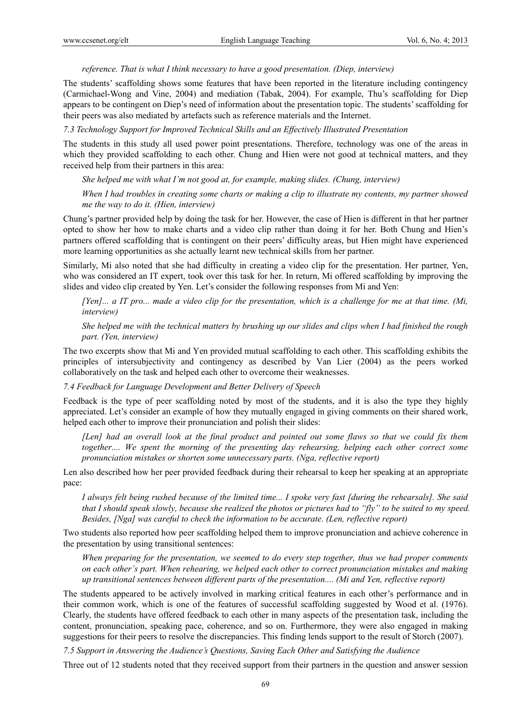*reference. That is what I think necessary to have a good presentation. (Diep, interview)* 

The students' scaffolding shows some features that have been reported in the literature including contingency (Carmichael-Wong and Vine, 2004) and mediation (Tabak, 2004). For example, Thu's scaffolding for Diep appears to be contingent on Diep's need of information about the presentation topic. The students' scaffolding for their peers was also mediated by artefacts such as reference materials and the Internet.

*7.3 Technology Support for Improved Technical Skills and an Effectively Illustrated Presentation* 

The students in this study all used power point presentations. Therefore, technology was one of the areas in which they provided scaffolding to each other. Chung and Hien were not good at technical matters, and they received help from their partners in this area:

*She helped me with what I'm not good at, for example, making slides. (Chung, interview)* 

*When I had troubles in creating some charts or making a clip to illustrate my contents, my partner showed me the way to do it. (Hien, interview)* 

Chung's partner provided help by doing the task for her. However, the case of Hien is different in that her partner opted to show her how to make charts and a video clip rather than doing it for her. Both Chung and Hien's partners offered scaffolding that is contingent on their peers' difficulty areas, but Hien might have experienced more learning opportunities as she actually learnt new technical skills from her partner.

Similarly, Mi also noted that she had difficulty in creating a video clip for the presentation. Her partner, Yen, who was considered an IT expert, took over this task for her. In return, Mi offered scaffolding by improving the slides and video clip created by Yen. Let's consider the following responses from Mi and Yen:

*[Yen]... a IT pro... made a video clip for the presentation, which is a challenge for me at that time. (Mi, interview)* 

*She helped me with the technical matters by brushing up our slides and clips when I had finished the rough part. (Yen, interview)* 

The two excerpts show that Mi and Yen provided mutual scaffolding to each other. This scaffolding exhibits the principles of intersubjectivity and contingency as described by Van Lier (2004) as the peers worked collaboratively on the task and helped each other to overcome their weaknesses.

*7.4 Feedback for Language Development and Better Delivery of Speech* 

Feedback is the type of peer scaffolding noted by most of the students, and it is also the type they highly appreciated. Let's consider an example of how they mutually engaged in giving comments on their shared work, helped each other to improve their pronunciation and polish their slides:

*[Len] had an overall look at the final product and pointed out some flaws so that we could fix them together.... We spent the morning of the presenting day rehearsing, helping each other correct some pronunciation mistakes or shorten some unnecessary parts. (Nga, reflective report)* 

Len also described how her peer provided feedback during their rehearsal to keep her speaking at an appropriate pace:

*I always felt being rushed because of the limited time... I spoke very fast [during the rehearsals]. She said that I should speak slowly, because she realized the photos or pictures had to "fly" to be suited to my speed. Besides, [Nga] was careful to check the information to be accurate. (Len, reflective report)* 

Two students also reported how peer scaffolding helped them to improve pronunciation and achieve coherence in the presentation by using transitional sentences:

*When preparing for the presentation, we seemed to do every step together, thus we had proper comments on each other's part. When rehearing, we helped each other to correct pronunciation mistakes and making up transitional sentences between different parts of the presentation.... (Mi and Yen, reflective report)* 

The students appeared to be actively involved in marking critical features in each other's performance and in their common work, which is one of the features of successful scaffolding suggested by Wood et al. (1976). Clearly, the students have offered feedback to each other in many aspects of the presentation task, including the content, pronunciation, speaking pace, coherence, and so on. Furthermore, they were also engaged in making suggestions for their peers to resolve the discrepancies. This finding lends support to the result of Storch (2007).

*7.5 Support in Answering the Audience's Questions, Saving Each Other and Satisfying the Audience* 

Three out of 12 students noted that they received support from their partners in the question and answer session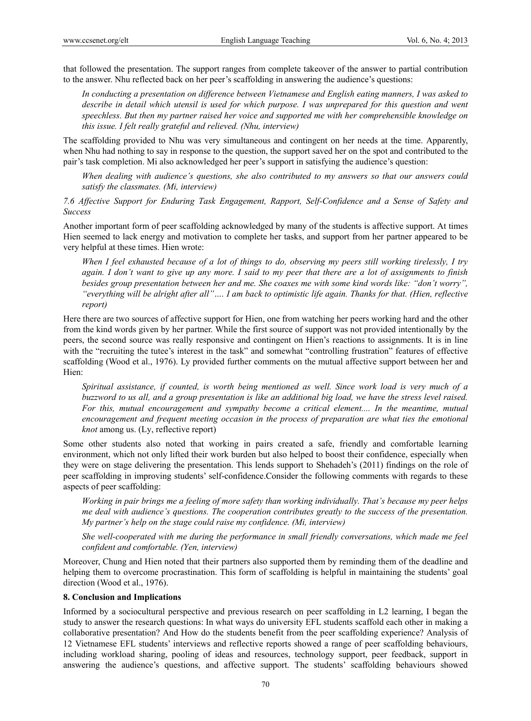that followed the presentation. The support ranges from complete takeover of the answer to partial contribution to the answer. Nhu reflected back on her peer's scaffolding in answering the audience's questions:

*In conducting a presentation on difference between Vietnamese and English eating manners, I was asked to*  describe in detail which utensil is used for which purpose. I was unprepared for this question and went *speechless. But then my partner raised her voice and supported me with her comprehensible knowledge on this issue. I felt really grateful and relieved. (Nhu, interview)* 

The scaffolding provided to Nhu was very simultaneous and contingent on her needs at the time. Apparently, when Nhu had nothing to say in response to the question, the support saved her on the spot and contributed to the pair's task completion. Mi also acknowledged her peer's support in satisfying the audience's question:

*When dealing with audience's questions, she also contributed to my answers so that our answers could satisfy the classmates. (Mi, interview)* 

*7.6 Affective Support for Enduring Task Engagement, Rapport, Self-Confidence and a Sense of Safety and Success* 

Another important form of peer scaffolding acknowledged by many of the students is affective support. At times Hien seemed to lack energy and motivation to complete her tasks, and support from her partner appeared to be very helpful at these times. Hien wrote:

*When I feel exhausted because of a lot of things to do, observing my peers still working tirelessly, I try again. I don't want to give up any more. I said to my peer that there are a lot of assignments to finish besides group presentation between her and me. She coaxes me with some kind words like: "don't worry", "everything will be alright after all"…. I am back to optimistic life again. Thanks for that. (Hien, reflective report)* 

Here there are two sources of affective support for Hien, one from watching her peers working hard and the other from the kind words given by her partner. While the first source of support was not provided intentionally by the peers, the second source was really responsive and contingent on Hien's reactions to assignments. It is in line with the "recruiting the tutee's interest in the task" and somewhat "controlling frustration" features of effective scaffolding (Wood et al., 1976). Ly provided further comments on the mutual affective support between her and Hien:

*Spiritual assistance, if counted, is worth being mentioned as well. Since work load is very much of a buzzword to us all, and a group presentation is like an additional big load, we have the stress level raised.*  For this, mutual encouragement and sympathy become a critical element.... In the meantime, mutual *encouragement and frequent meeting occasion in the process of preparation are what ties the emotional knot* among us. (Ly, reflective report)

Some other students also noted that working in pairs created a safe, friendly and comfortable learning environment, which not only lifted their work burden but also helped to boost their confidence, especially when they were on stage delivering the presentation. This lends support to Shehadeh's (2011) findings on the role of peer scaffolding in improving students' self-confidence.Consider the following comments with regards to these aspects of peer scaffolding:

*Working in pair brings me a feeling of more safety than working individually. That's because my peer helps me deal with audience's questions. The cooperation contributes greatly to the success of the presentation. My partner's help on the stage could raise my confidence. (Mi, interview)* 

*She well-cooperated with me during the performance in small friendly conversations, which made me feel confident and comfortable. (Yen, interview)* 

Moreover, Chung and Hien noted that their partners also supported them by reminding them of the deadline and helping them to overcome procrastination. This form of scaffolding is helpful in maintaining the students' goal direction (Wood et al., 1976).

#### **8. Conclusion and Implications**

Informed by a sociocultural perspective and previous research on peer scaffolding in L2 learning, I began the study to answer the research questions: In what ways do university EFL students scaffold each other in making a collaborative presentation? And How do the students benefit from the peer scaffolding experience? Analysis of 12 Vietnamese EFL students' interviews and reflective reports showed a range of peer scaffolding behaviours, including workload sharing, pooling of ideas and resources, technology support, peer feedback, support in answering the audience's questions, and affective support. The students' scaffolding behaviours showed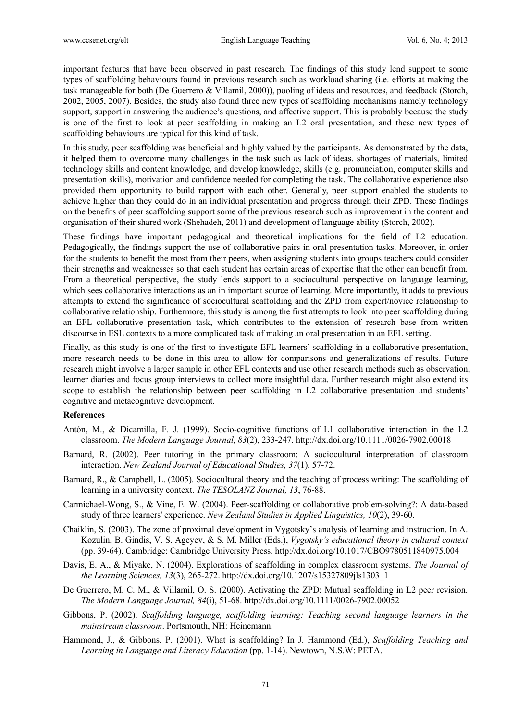important features that have been observed in past research. The findings of this study lend support to some types of scaffolding behaviours found in previous research such as workload sharing (i.e. efforts at making the task manageable for both (De Guerrero & Villamil, 2000)), pooling of ideas and resources, and feedback (Storch, 2002, 2005, 2007). Besides, the study also found three new types of scaffolding mechanisms namely technology support, support in answering the audience's questions, and affective support. This is probably because the study is one of the first to look at peer scaffolding in making an L2 oral presentation, and these new types of scaffolding behaviours are typical for this kind of task.

In this study, peer scaffolding was beneficial and highly valued by the participants. As demonstrated by the data, it helped them to overcome many challenges in the task such as lack of ideas, shortages of materials, limited technology skills and content knowledge, and develop knowledge, skills (e.g. pronunciation, computer skills and presentation skills), motivation and confidence needed for completing the task. The collaborative experience also provided them opportunity to build rapport with each other. Generally, peer support enabled the students to achieve higher than they could do in an individual presentation and progress through their ZPD. These findings on the benefits of peer scaffolding support some of the previous research such as improvement in the content and organisation of their shared work (Shehadeh, 2011) and development of language ability (Storch, 2002).

These findings have important pedagogical and theoretical implications for the field of L2 education. Pedagogically, the findings support the use of collaborative pairs in oral presentation tasks. Moreover, in order for the students to benefit the most from their peers, when assigning students into groups teachers could consider their strengths and weaknesses so that each student has certain areas of expertise that the other can benefit from. From a theoretical perspective, the study lends support to a sociocultural perspective on language learning, which sees collaborative interactions as an in important source of learning. More importantly, it adds to previous attempts to extend the significance of sociocultural scaffolding and the ZPD from expert/novice relationship to collaborative relationship. Furthermore, this study is among the first attempts to look into peer scaffolding during an EFL collaborative presentation task, which contributes to the extension of research base from written discourse in ESL contexts to a more complicated task of making an oral presentation in an EFL setting.

Finally, as this study is one of the first to investigate EFL learners' scaffolding in a collaborative presentation, more research needs to be done in this area to allow for comparisons and generalizations of results. Future research might involve a larger sample in other EFL contexts and use other research methods such as observation, learner diaries and focus group interviews to collect more insightful data. Further research might also extend its scope to establish the relationship between peer scaffolding in L2 collaborative presentation and students' cognitive and metacognitive development.

#### **References**

- Antón, M., & Dicamilla, F. J. (1999). Socio-cognitive functions of L1 collaborative interaction in the L2 classroom. *The Modern Language Journal, 83*(2), 233-247. http://dx.doi.org/10.1111/0026-7902.00018
- Barnard, R. (2002). Peer tutoring in the primary classroom: A sociocultural interpretation of classroom interaction. *New Zealand Journal of Educational Studies, 37*(1), 57-72.
- Barnard, R., & Campbell, L. (2005). Sociocultural theory and the teaching of process writing: The scaffolding of learning in a university context. *The TESOLANZ Journal, 13*, 76-88.
- Carmichael-Wong, S., & Vine, E. W. (2004). Peer-scaffolding or collaborative problem-solving?: A data-based study of three learners' experience. *New Zealand Studies in Applied Linguistics, 10*(2), 39-60.
- Chaiklin, S. (2003). The zone of proximal development in Vygotsky's analysis of learning and instruction. In A. Kozulin, B. Gindis, V. S. Ageyev, & S. M. Miller (Eds.), *Vygotsky's educational theory in cultural context* (pp. 39-64). Cambridge: Cambridge University Press. http://dx.doi.org/10.1017/CBO9780511840975.004
- Davis, E. A., & Miyake, N. (2004). Explorations of scaffolding in complex classroom systems. *The Journal of the Learning Sciences, 13*(3), 265-272. http://dx.doi.org/10.1207/s15327809jls1303\_1
- De Guerrero, M. C. M., & Villamil, O. S. (2000). Activating the ZPD: Mutual scaffolding in L2 peer revision. *The Modern Language Journal, 84*(i), 51-68. http://dx.doi.org/10.1111/0026-7902.00052
- Gibbons, P. (2002). *Scaffolding language, scaffolding learning: Teaching second language learners in the mainstream classroom*. Portsmouth, NH: Heinemann.
- Hammond, J., & Gibbons, P. (2001). What is scaffolding? In J. Hammond (Ed.), *Scaffolding Teaching and Learning in Language and Literacy Education* (pp. 1-14). Newtown, N.S.W: PETA.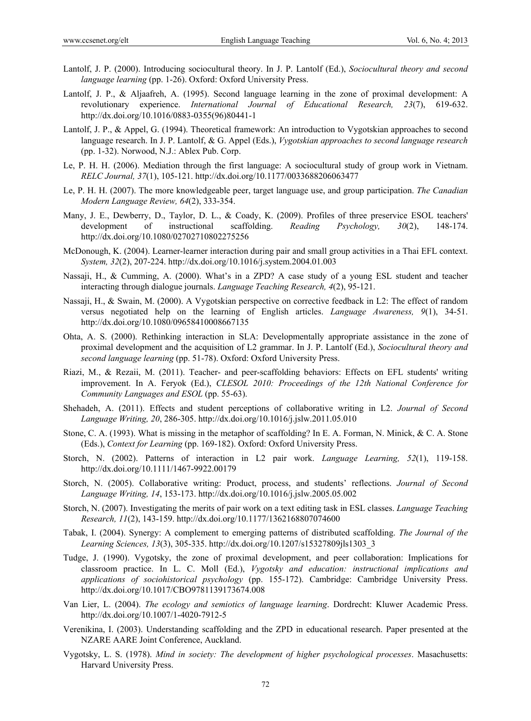- Lantolf, J. P. (2000). Introducing sociocultural theory. In J. P. Lantolf (Ed.), *Sociocultural theory and second language learning* (pp. 1-26). Oxford: Oxford University Press.
- Lantolf, J. P., & Aljaafreh, A. (1995). Second language learning in the zone of proximal development: A revolutionary experience. *International Journal of Educational Research, 23*(7), 619-632. http://dx.doi.org/10.1016/0883-0355(96)80441-1
- Lantolf, J. P., & Appel, G. (1994). Theoretical framework: An introduction to Vygotskian approaches to second language research. In J. P. Lantolf, & G. Appel (Eds.), *Vygotskian approaches to second language research* (pp. 1-32). Norwood, N.J.: Ablex Pub. Corp.
- Le, P. H. H. (2006). Mediation through the first language: A sociocultural study of group work in Vietnam. *RELC Journal, 37*(1), 105-121. http://dx.doi.org/10.1177/0033688206063477
- Le, P. H. H. (2007). The more knowledgeable peer, target language use, and group participation. *The Canadian Modern Language Review, 64*(2), 333-354.
- Many, J. E., Dewberry, D., Taylor, D. L., & Coady, K. (2009). Profiles of three preservice ESOL teachers' development of instructional scaffolding. *Reading Psychology, 30*(2), 148-174. http://dx.doi.org/10.1080/02702710802275256
- McDonough, K. (2004). Learner-learner interaction during pair and small group activities in a Thai EFL context. *System, 32*(2), 207-224. http://dx.doi.org/10.1016/j.system.2004.01.003
- Nassaji, H., & Cumming, A. (2000). What's in a ZPD? A case study of a young ESL student and teacher interacting through dialogue journals. *Language Teaching Research, 4*(2), 95-121.
- Nassaji, H., & Swain, M. (2000). A Vygotskian perspective on corrective feedback in L2: The effect of random versus negotiated help on the learning of English articles. *Language Awareness, 9*(1), 34-51. http://dx.doi.org/10.1080/09658410008667135
- Ohta, A. S. (2000). Rethinking interaction in SLA: Developmentally appropriate assistance in the zone of proximal development and the acquisition of L2 grammar. In J. P. Lantolf (Ed.), *Sociocultural theory and second language learning* (pp. 51-78). Oxford: Oxford University Press.
- Riazi, M., & Rezaii, M. (2011). Teacher- and peer-scaffolding behaviors: Effects on EFL students' writing improvement. In A. Feryok (Ed.), *CLESOL 2010: Proceedings of the 12th National Conference for Community Languages and ESOL* (pp. 55-63).
- Shehadeh, A. (2011). Effects and student perceptions of collaborative writing in L2. *Journal of Second Language Writing, 20*, 286-305. http://dx.doi.org/10.1016/j.jslw.2011.05.010
- Stone, C. A. (1993). What is missing in the metaphor of scaffolding? In E. A. Forman, N. Minick, & C. A. Stone (Eds.), *Context for Learning* (pp. 169-182). Oxford: Oxford University Press.
- Storch, N. (2002). Patterns of interaction in L2 pair work. *Language Learning, 52*(1), 119-158. http://dx.doi.org/10.1111/1467-9922.00179
- Storch, N. (2005). Collaborative writing: Product, process, and students' reflections. *Journal of Second Language Writing, 14*, 153-173. http://dx.doi.org/10.1016/j.jslw.2005.05.002
- Storch, N. (2007). Investigating the merits of pair work on a text editing task in ESL classes. *Language Teaching Research, 11*(2), 143-159. http://dx.doi.org/10.1177/1362168807074600
- Tabak, I. (2004). Synergy: A complement to emerging patterns of distributed scaffolding. *The Journal of the Learning Sciences, 13*(3), 305-335. http://dx.doi.org/10.1207/s15327809jls1303\_3
- Tudge, J. (1990). Vygotsky, the zone of proximal development, and peer collaboration: Implications for classroom practice. In L. C. Moll (Ed.), *Vygotsky and education: instructional implications and applications of sociohistorical psychology* (pp. 155-172). Cambridge: Cambridge University Press. http://dx.doi.org/10.1017/CBO9781139173674.008
- Van Lier, L. (2004). *The ecology and semiotics of language learning*. Dordrecht: Kluwer Academic Press. http://dx.doi.org/10.1007/1-4020-7912-5
- Verenikina, I. (2003). Understanding scaffolding and the ZPD in educational research. Paper presented at the NZARE AARE Joint Conference, Auckland.
- Vygotsky, L. S. (1978). *Mind in society: The development of higher psychological processes*. Masachusetts: Harvard University Press.